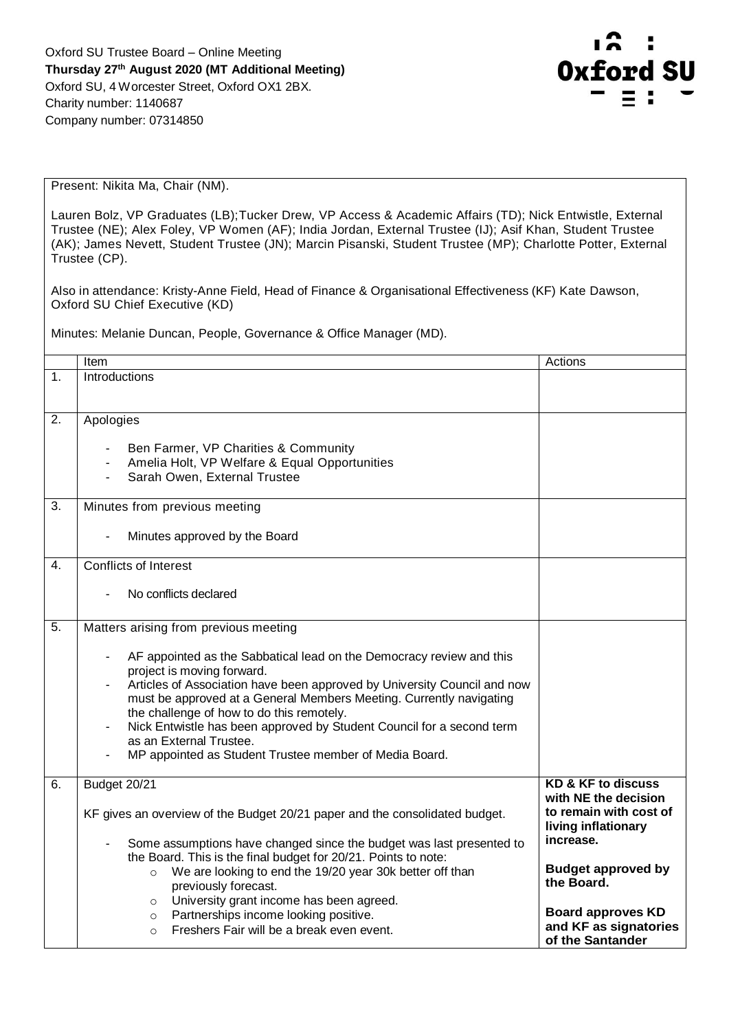

Present: Nikita Ma, Chair (NM).

Lauren Bolz, VP Graduates (LB);Tucker Drew, VP Access & Academic Affairs (TD); Nick Entwistle, External Trustee (NE); Alex Foley, VP Women (AF); India Jordan, External Trustee (IJ); Asif Khan, Student Trustee (AK); James Nevett, Student Trustee (JN); Marcin Pisanski, Student Trustee (MP); Charlotte Potter, External Trustee (CP).

Also in attendance: Kristy-Anne Field, Head of Finance & Organisational Effectiveness (KF) Kate Dawson, Oxford SU Chief Executive (KD)

Minutes: Melanie Duncan, People, Governance & Office Manager (MD).

|                | Item                                                                                             | Actions                                 |
|----------------|--------------------------------------------------------------------------------------------------|-----------------------------------------|
| 1.             | Introductions                                                                                    |                                         |
|                |                                                                                                  |                                         |
|                |                                                                                                  |                                         |
| 2.             | Apologies                                                                                        |                                         |
|                |                                                                                                  |                                         |
|                | Ben Farmer, VP Charities & Community                                                             |                                         |
|                | Amelia Holt, VP Welfare & Equal Opportunities                                                    |                                         |
|                | Sarah Owen, External Trustee                                                                     |                                         |
|                |                                                                                                  |                                         |
| 3.             | Minutes from previous meeting                                                                    |                                         |
|                |                                                                                                  |                                         |
|                | Minutes approved by the Board                                                                    |                                         |
| $\mathbf{4}$ . | <b>Conflicts of Interest</b>                                                                     |                                         |
|                |                                                                                                  |                                         |
|                | No conflicts declared                                                                            |                                         |
|                |                                                                                                  |                                         |
| 5.             | Matters arising from previous meeting                                                            |                                         |
|                |                                                                                                  |                                         |
|                | AF appointed as the Sabbatical lead on the Democracy review and this<br>$\blacksquare$           |                                         |
|                | project is moving forward.                                                                       |                                         |
|                | Articles of Association have been approved by University Council and now                         |                                         |
|                | must be approved at a General Members Meeting. Currently navigating                              |                                         |
|                | the challenge of how to do this remotely.                                                        |                                         |
|                | Nick Entwistle has been approved by Student Council for a second term<br>as an External Trustee. |                                         |
|                | MP appointed as Student Trustee member of Media Board.                                           |                                         |
|                |                                                                                                  |                                         |
| 6.             | Budget 20/21                                                                                     | <b>KD &amp; KF to discuss</b>           |
|                |                                                                                                  | with NE the decision                    |
|                | KF gives an overview of the Budget 20/21 paper and the consolidated budget.                      | to remain with cost of                  |
|                |                                                                                                  | living inflationary                     |
|                | Some assumptions have changed since the budget was last presented to                             | increase.                               |
|                | the Board. This is the final budget for 20/21. Points to note:                                   |                                         |
|                | We are looking to end the 19/20 year 30k better off than<br>$\circ$                              | <b>Budget approved by</b><br>the Board. |
|                | previously forecast.                                                                             |                                         |
|                | University grant income has been agreed.<br>$\circ$                                              | <b>Board approves KD</b>                |
|                | Partnerships income looking positive.<br>$\circ$<br>Freshers Fair will be a break even event.    | and KF as signatories                   |
|                | $\Omega$                                                                                         | of the Santander                        |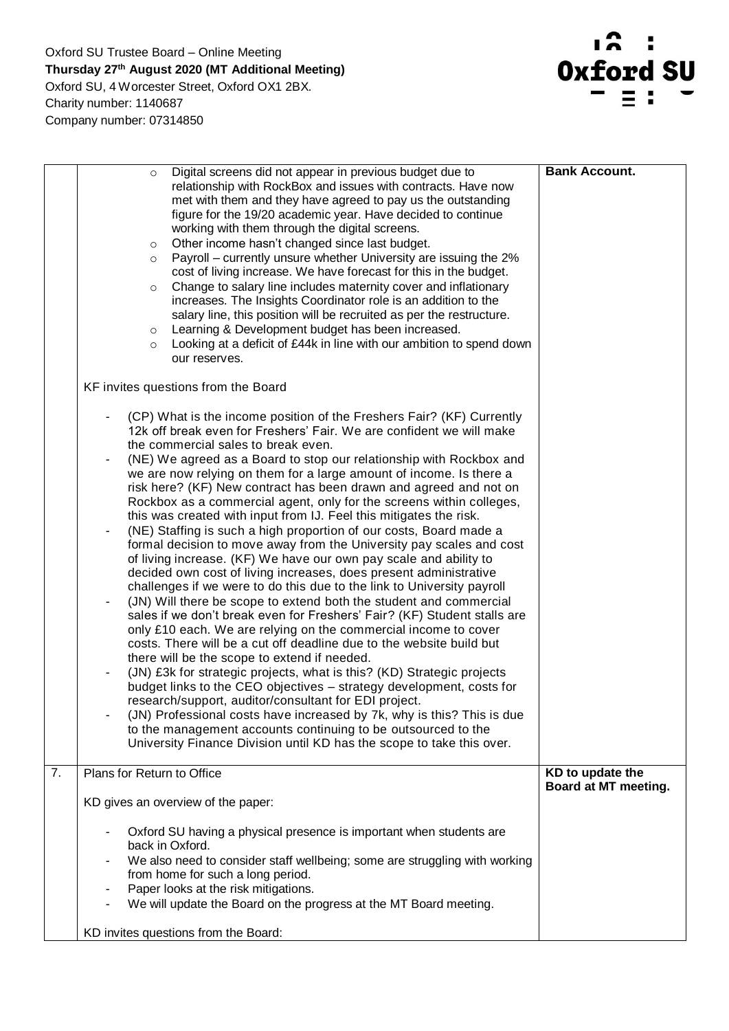

|    | Digital screens did not appear in previous budget due to<br>$\circ$<br>relationship with RockBox and issues with contracts. Have now                                                 | <b>Bank Account.</b>                     |
|----|--------------------------------------------------------------------------------------------------------------------------------------------------------------------------------------|------------------------------------------|
|    | met with them and they have agreed to pay us the outstanding<br>figure for the 19/20 academic year. Have decided to continue<br>working with them through the digital screens.       |                                          |
|    | Other income hasn't changed since last budget.<br>$\circ$                                                                                                                            |                                          |
|    | Payroll – currently unsure whether University are issuing the 2%<br>$\circ$                                                                                                          |                                          |
|    | cost of living increase. We have forecast for this in the budget.<br>Change to salary line includes maternity cover and inflationary<br>$\circ$                                      |                                          |
|    | increases. The Insights Coordinator role is an addition to the                                                                                                                       |                                          |
|    | salary line, this position will be recruited as per the restructure.                                                                                                                 |                                          |
|    | Learning & Development budget has been increased.<br>$\circ$<br>Looking at a deficit of £44k in line with our ambition to spend down<br>$\circ$                                      |                                          |
|    | our reserves.                                                                                                                                                                        |                                          |
|    | KF invites questions from the Board                                                                                                                                                  |                                          |
|    | (CP) What is the income position of the Freshers Fair? (KF) Currently<br>12k off break even for Freshers' Fair. We are confident we will make<br>the commercial sales to break even. |                                          |
|    | (NE) We agreed as a Board to stop our relationship with Rockbox and                                                                                                                  |                                          |
|    | we are now relying on them for a large amount of income. Is there a                                                                                                                  |                                          |
|    | risk here? (KF) New contract has been drawn and agreed and not on<br>Rockbox as a commercial agent, only for the screens within colleges,                                            |                                          |
|    | this was created with input from IJ. Feel this mitigates the risk.                                                                                                                   |                                          |
|    | (NE) Staffing is such a high proportion of our costs, Board made a                                                                                                                   |                                          |
|    | formal decision to move away from the University pay scales and cost<br>of living increase. (KF) We have our own pay scale and ability to                                            |                                          |
|    | decided own cost of living increases, does present administrative                                                                                                                    |                                          |
|    | challenges if we were to do this due to the link to University payroll                                                                                                               |                                          |
|    | (JN) Will there be scope to extend both the student and commercial                                                                                                                   |                                          |
|    | sales if we don't break even for Freshers' Fair? (KF) Student stalls are<br>only £10 each. We are relying on the commercial income to cover                                          |                                          |
|    | costs. There will be a cut off deadline due to the website build but                                                                                                                 |                                          |
|    | there will be the scope to extend if needed.                                                                                                                                         |                                          |
|    | (JN) £3k for strategic projects, what is this? (KD) Strategic projects                                                                                                               |                                          |
|    | budget links to the CEO objectives - strategy development, costs for<br>research/support, auditor/consultant for EDI project.                                                        |                                          |
|    | (JN) Professional costs have increased by 7k, why is this? This is due                                                                                                               |                                          |
|    | to the management accounts continuing to be outsourced to the                                                                                                                        |                                          |
|    | University Finance Division until KD has the scope to take this over.                                                                                                                |                                          |
| 7. | Plans for Return to Office                                                                                                                                                           | KD to update the<br>Board at MT meeting. |
|    | KD gives an overview of the paper:                                                                                                                                                   |                                          |
|    | Oxford SU having a physical presence is important when students are                                                                                                                  |                                          |
|    | back in Oxford.<br>We also need to consider staff wellbeing; some are struggling with working                                                                                        |                                          |
|    | from home for such a long period.                                                                                                                                                    |                                          |
|    | Paper looks at the risk mitigations.                                                                                                                                                 |                                          |
|    | We will update the Board on the progress at the MT Board meeting.                                                                                                                    |                                          |
|    | KD invites questions from the Board:                                                                                                                                                 |                                          |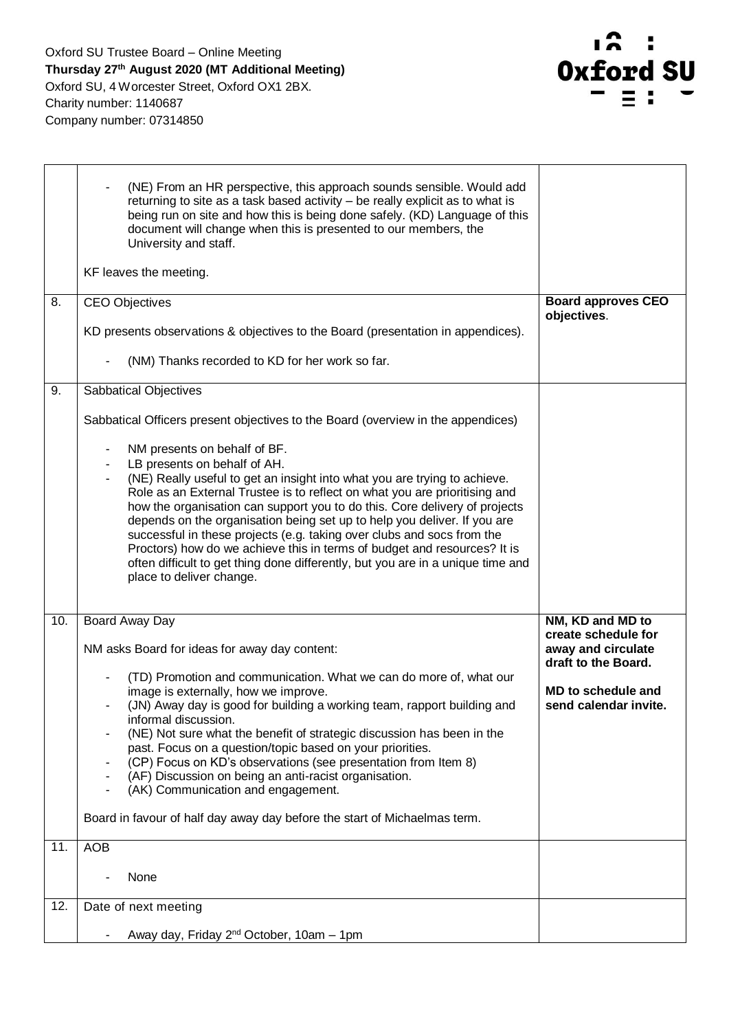

|     | (NE) From an HR perspective, this approach sounds sensible. Would add<br>returning to site as a task based activity - be really explicit as to what is<br>being run on site and how this is being done safely. (KD) Language of this<br>document will change when this is presented to our members, the<br>University and staff.<br>KF leaves the meeting.                                                                                                                                                                                                                                                                                             |                                                                  |
|-----|--------------------------------------------------------------------------------------------------------------------------------------------------------------------------------------------------------------------------------------------------------------------------------------------------------------------------------------------------------------------------------------------------------------------------------------------------------------------------------------------------------------------------------------------------------------------------------------------------------------------------------------------------------|------------------------------------------------------------------|
| 8.  | <b>CEO Objectives</b>                                                                                                                                                                                                                                                                                                                                                                                                                                                                                                                                                                                                                                  | <b>Board approves CEO</b>                                        |
|     | KD presents observations & objectives to the Board (presentation in appendices).<br>(NM) Thanks recorded to KD for her work so far.                                                                                                                                                                                                                                                                                                                                                                                                                                                                                                                    | objectives.                                                      |
|     |                                                                                                                                                                                                                                                                                                                                                                                                                                                                                                                                                                                                                                                        |                                                                  |
| 9.  | Sabbatical Objectives                                                                                                                                                                                                                                                                                                                                                                                                                                                                                                                                                                                                                                  |                                                                  |
|     | Sabbatical Officers present objectives to the Board (overview in the appendices)                                                                                                                                                                                                                                                                                                                                                                                                                                                                                                                                                                       |                                                                  |
|     | NM presents on behalf of BF.<br>LB presents on behalf of AH.<br>(NE) Really useful to get an insight into what you are trying to achieve.<br>Role as an External Trustee is to reflect on what you are prioritising and<br>how the organisation can support you to do this. Core delivery of projects<br>depends on the organisation being set up to help you deliver. If you are<br>successful in these projects (e.g. taking over clubs and socs from the<br>Proctors) how do we achieve this in terms of budget and resources? It is<br>often difficult to get thing done differently, but you are in a unique time and<br>place to deliver change. |                                                                  |
| 10. | Board Away Day                                                                                                                                                                                                                                                                                                                                                                                                                                                                                                                                                                                                                                         | NM, KD and MD to                                                 |
|     | NM asks Board for ideas for away day content:                                                                                                                                                                                                                                                                                                                                                                                                                                                                                                                                                                                                          | create schedule for<br>away and circulate<br>draft to the Board. |
|     | (TD) Promotion and communication. What we can do more of, what our<br>image is externally, how we improve.<br>(JN) Away day is good for building a working team, rapport building and<br>informal discussion.<br>(NE) Not sure what the benefit of strategic discussion has been in the<br>past. Focus on a question/topic based on your priorities.<br>(CP) Focus on KD's observations (see presentation from Item 8)<br>(AF) Discussion on being an anti-racist organisation.<br>(AK) Communication and engagement.                                                                                                                                  | MD to schedule and<br>send calendar invite.                      |
|     | Board in favour of half day away day before the start of Michaelmas term.                                                                                                                                                                                                                                                                                                                                                                                                                                                                                                                                                                              |                                                                  |
| 11. | <b>AOB</b>                                                                                                                                                                                                                                                                                                                                                                                                                                                                                                                                                                                                                                             |                                                                  |
|     | None                                                                                                                                                                                                                                                                                                                                                                                                                                                                                                                                                                                                                                                   |                                                                  |
| 12. | Date of next meeting                                                                                                                                                                                                                                                                                                                                                                                                                                                                                                                                                                                                                                   |                                                                  |
|     | Away day, Friday 2 <sup>nd</sup> October, 10am - 1pm                                                                                                                                                                                                                                                                                                                                                                                                                                                                                                                                                                                                   |                                                                  |